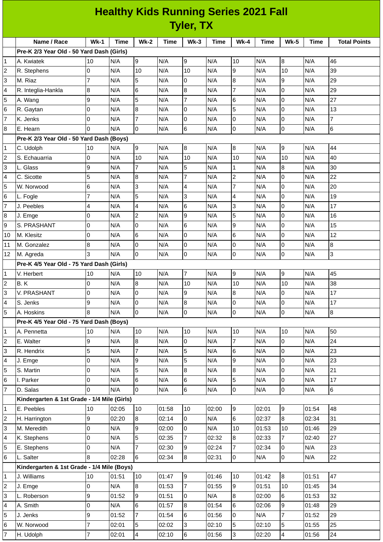| <b>Healthy Kids Running Series 2021 Fall</b> |                                             |                |             |                     |             |                 |             |                |             |                |             |                     |
|----------------------------------------------|---------------------------------------------|----------------|-------------|---------------------|-------------|-----------------|-------------|----------------|-------------|----------------|-------------|---------------------|
|                                              | <b>Tyler, TX</b>                            |                |             |                     |             |                 |             |                |             |                |             |                     |
|                                              | Name / Race                                 | $Wk-1$         | <b>Time</b> | $Wk-2$              | <b>Time</b> | $Wk-3$          | <b>Time</b> | $Wk-4$         | <b>Time</b> | $Wk-5$         | <b>Time</b> | <b>Total Points</b> |
|                                              | Pre-K 2/3 Year Old - 50 Yard Dash (Girls)   |                |             |                     |             |                 |             |                |             |                |             |                     |
| $\mathbf{1}$                                 | A. Kwiatek                                  | 10             | N/A         | 9                   | N/A         | 9               | N/A         | 10             | N/A         | 8              | N/A         | 46                  |
| 2                                            | R. Stephens                                 | 0              | N/A         | 10                  | N/A         | 10              | N/A         | 9              | N/A         | 10             | N/A         | 39                  |
| 3                                            | M. Riaz                                     | $\overline{7}$ | N/A         | 5                   | N/A         | l0              | N/A         | 8              | N/A         | 9              | N/A         | 29                  |
| 4                                            | R. Integlia-Hankla                          | 8              | N/A         | 6                   | N/A         | $\overline{8}$  | N/A         | $\overline{7}$ | N/A         | $\mathsf 0$    | N/A         | 29                  |
| 5                                            | A. Wang                                     | 9              | N/A         | 5                   | N/A         | $\overline{7}$  | N/A         | 6              | N/A         | $\overline{0}$ | N/A         | 27                  |
| 6                                            | R. Gaytan                                   | 0              | N/A         | 8                   | N/A         | Iо              | N/A         | 5              | N/A         | $\overline{0}$ | N/A         | 13                  |
| $\overline{7}$                               | K. Jenks                                    | 0              | N/A         | $\overline{7}$      | N/A         | Iо              | N/A         | 0              | N/A         | $\overline{0}$ | N/A         | $\overline{7}$      |
| 8                                            | E. Hearn                                    | 0              | N/A         | 0                   | N/A         | 6               | N/A         | 0              | N/A         | $\mathsf 0$    | N/A         | 6                   |
|                                              | Pre-K 2/3 Year Old - 50 Yard Dash (Boys)    |                |             |                     |             |                 |             |                |             |                |             |                     |
| 1                                            | C. Udolph                                   | 10             | N/A         | 9                   | N/A         | 8               | N/A         | 8              | N/A         | 9              | N/A         | 44                  |
| 2                                            | S. Echauarria                               | 0              | N/A         | 10                  | N/A         | 10              | N/A         | 10             | N/A         | 10             | N/A         | 40                  |
| 3                                            | L. Glass                                    | 9              | N/A         | 7                   | N/A         | 5               | N/A         | $\mathbf{1}$   | N/A         | 8              | N/A         | 30                  |
| 4                                            | C. Sicotte                                  | 5              | N/A         | 8                   | N/A         | $\overline{7}$  | N/A         | $\overline{c}$ | N/A         | 0              | N/A         | 22                  |
| 5                                            | W. Norwood                                  | 6              | N/A         | 3                   | N/A         | $\overline{4}$  | N/A         | $\overline{7}$ | N/A         | $\mathsf 0$    | N/A         | 20                  |
| 6                                            |                                             | $\overline{7}$ | N/A         | 5                   | N/A         | 3               | N/A         | 4              | N/A         | 0              | N/A         | 19                  |
| $\overline{7}$                               | L. Fogle<br>J. Peebles                      | 4              |             |                     |             | $6\phantom{.}6$ |             | 3              | N/A         | $\mathsf 0$    | N/A         | 17                  |
|                                              |                                             | 0              | N/A<br>N/A  | 4<br>$\overline{c}$ | N/A<br>N/A  | 9               | N/A         | 5              | N/A         | 0              | N/A         | 16                  |
| 8                                            | J. Emge                                     |                |             |                     |             | $6\phantom{.}6$ | N/A         |                |             |                |             |                     |
| 9                                            | S. PRASHANT                                 | 0              | N/A         | 0                   | N/A         |                 | N/A         | 9              | N/A         | 0              | N/A         | 15                  |
| 10                                           | M. Klesitz                                  | 0              | N/A         | 6                   | N/A         | Iо              | N/A         | 6              | N/A         | 0              | N/A         | 12                  |
| 11                                           | M. Gonzalez                                 | 8              | N/A         | 0                   | N/A         | l0              | N/A         | 0              | N/A         | $\mathsf 0$    | N/A         | 8                   |
| 12                                           | M. Agreda                                   | 3              | N/A         | 0                   | N/A         | Iо              | N/A         | 0              | N/A         | 0              | N/A         | 3                   |
|                                              | Pre-K 4/5 Year Old - 75 Yard Dash (Girls)   |                |             |                     |             |                 |             |                |             |                |             |                     |
| 1                                            | V. Herbert                                  | 10             | N/A         | 10                  | N/A         | $\overline{7}$  | N/A         | 9              | N/A         | 9              | N/A         | 45                  |
| $\overline{c}$                               | B.K                                         | 0              | N/A         | 8                   | N/A         | 10              | N/A         | 10             | N/A         | 10             | N/A         | 38                  |
| 3                                            | V. PRASHANT                                 | 0              | N/A         | 0                   | N/A         | 9               | N/A         | 8              | N/A         | $\overline{0}$ | N/A         | $17\,$              |
| 4                                            | S. Jenks                                    | 9              | N/A         | 0                   | N/A         | 8               | N/A         | 0              | N/A         | $\mathsf{O}$   | N/A         | 17                  |
| 5                                            | A. Hoskins                                  | 8              | N/A         | $\overline{0}$      | N/A         | l0              | N/A         | $\mathsf{O}$   | N/A         | $\mathsf 0$    | N/A         | 8                   |
|                                              | Pre-K 4/5 Year Old - 75 Yard Dash (Boys)    |                |             |                     |             |                 |             |                |             |                |             |                     |
| 1                                            | A. Pennetta                                 | 10             | N/A         | 10                  | N/A         | 10              | N/A         | 10             | N/A         | 10             | N/A         | 50                  |
| 2                                            | E. Walter                                   | 9              | N/A         | 8                   | N/A         | 0               | N/A         | $\overline{7}$ | N/A         | $\overline{0}$ | N/A         | 24                  |
| 3                                            | R. Hendrix                                  | 5              | N/A         | $\overline{7}$      | N/A         | 5               | N/A         | 6              | N/A         | $\mathsf 0$    | N/A         | 23                  |
| 4                                            | J. Emge                                     | 0              | N/A         | 9                   | N/A         | 5               | N/A         | 9              | N/A         | $\mathsf 0$    | N/A         | 23                  |
| 5                                            | S. Martin                                   | 0              | N/A         | 5                   | N/A         | 8               | N/A         | 8              | N/A         | $\mathsf 0$    | N/A         | 21                  |
| 6                                            | I. Parker                                   | 0              | N/A         | 6                   | N/A         | 6               | N/A         | 5              | N/A         | $\mathsf 0$    | N/A         | 17                  |
| $\overline{7}$                               | D. Salas                                    | 0              | N/A         | 0                   | N/A         | 6               | N/A         | 0              | N/A         | $\mathsf 0$    | N/A         | 6                   |
|                                              | Kindergarten & 1st Grade - 1/4 Mile (Girls) |                |             |                     |             |                 |             |                |             |                |             |                     |
| $\mathbf{1}$                                 | E. Peebles                                  | 10             | 02:05       | 10                  | 01:58       | 10              | 02:00       | 9              | 02:01       | 9              | 01:54       | 48                  |
| 2                                            | H. Harrington                               | 9              | 02:20       | 8                   | 02:14       | 0               | N/A         | 6              | 02:37       | 8              | 02:34       | 31                  |
| 3                                            | M. Meredith                                 | 0              | N/A         | 9                   | 02:00       | 0               | N/A         | 10             | 01:53       | 10             | 01:46       | 29                  |
| 4                                            | K. Stephens                                 | 0              | N/A         | 5                   | 02:35       | $\overline{7}$  | 02:32       | 8              | 02:33       | 7              | 02:40       | 27                  |
| 5                                            | E. Stephens                                 | 0              | N/A         | $\overline{7}$      | 02:30       | l9              | 02:24       | $\overline{7}$ | 02:34       | 0              | N/A         | 23                  |
| 6                                            | L. Salter                                   | 8              | 02:28       | 6                   | 02:34       | $\overline{8}$  | 02:31       | $\overline{0}$ | N/A         | $\mathsf{O}$   | N/A         | 22                  |
|                                              | Kindergarten & 1st Grade - 1/4 Mile (Boys)  |                |             |                     |             |                 |             |                |             |                |             |                     |
| 1                                            | J. Williams                                 | 10             | 01:51       | 10                  | 01:47       | 9               | 01:46       | 10             | 01:42       | $8\phantom{1}$ | 01:51       | 47                  |
| 2                                            | J. Emge                                     | 0              | N/A         | 8                   | 01:53       | $\overline{7}$  | 01:55       | 9              | 01:51       | 10             | 01:45       | 34                  |
| 3                                            | L. Roberson                                 | 9              | 01:52       | 9                   | 01:51       | 0               | N/A         | 8              | 02:00       | 6              | 01:53       | 32                  |
| 4                                            | A. Smith                                    | 0              | N/A         | 6                   | 01:57       | 8               | 01:54       | 6              | 02:06       | 9              | 01:48       | 29                  |
| 5                                            | J. Jenks                                    | 9              | 01:52       | 7                   | 01:54       | 6               | 01:56       | 0              | N/A         | $\overline{7}$ | 01:52       | 29                  |
| 6                                            | W. Norwood                                  | $\overline{7}$ | 02:01       | 5                   | 02:02       | 3               | 02:10       | 5              | 02:10       | 5              | 01:55       | 25                  |
| $\overline{7}$                               | H. Udolph                                   | $\overline{7}$ | 02:01       | $\overline{4}$      | 02:10       | 6               | 01:56       | $\overline{3}$ | 02:20       | $\overline{4}$ | 01:56       | 24                  |